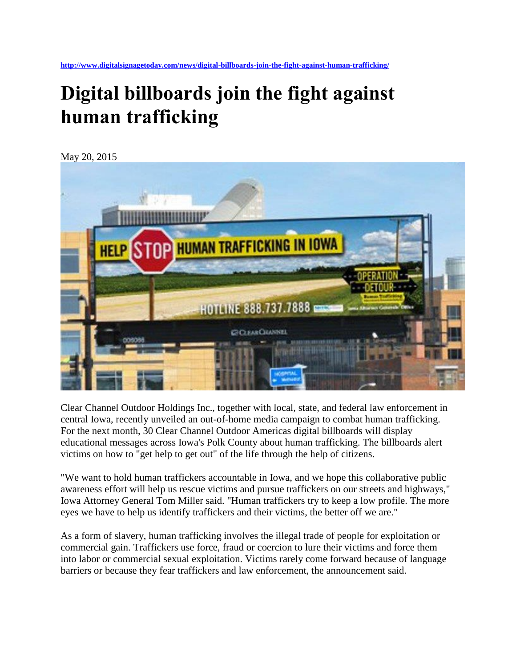**<http://www.digitalsignagetoday.com/news/digital-billboards-join-the-fight-against-human-trafficking/>**

## **Digital billboards join the fight against human trafficking**

May 20, 2015



Clear Channel Outdoor Holdings Inc., together with local, state, and federal law enforcement in central Iowa, recently unveiled an out-of-home media campaign to combat human trafficking. For the next month, 30 Clear Channel Outdoor Americas digital billboards will display educational messages across Iowa's Polk County about human trafficking. The billboards alert victims on how to "get help to get out" of the life through the help of citizens.

"We want to hold human traffickers accountable in Iowa, and we hope this collaborative public awareness effort will help us rescue victims and pursue traffickers on our streets and highways," Iowa Attorney General Tom Miller said. "Human traffickers try to keep a low profile. The more eyes we have to help us identify traffickers and their victims, the better off we are."

As a form of slavery, human trafficking involves the illegal trade of people for exploitation or commercial gain. Traffickers use force, fraud or coercion to lure their victims and force them into labor or commercial sexual exploitation. Victims rarely come forward because of language barriers or because they fear traffickers and law enforcement, the announcement said.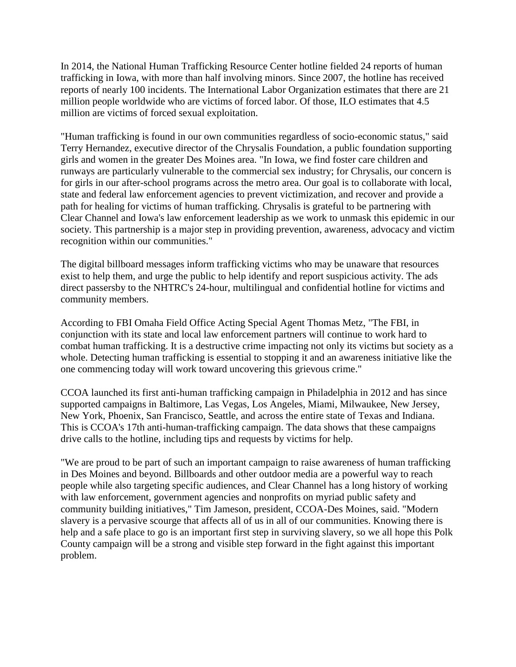In 2014, the National Human Trafficking Resource Center hotline fielded 24 reports of human trafficking in Iowa, with more than half involving minors. Since 2007, the hotline has received reports of nearly 100 incidents. The International Labor Organization estimates that there are 21 million people worldwide who are victims of forced labor. Of those, ILO estimates that 4.5 million are victims of forced sexual exploitation.

"Human trafficking is found in our own communities regardless of socio-economic status," said Terry Hernandez, executive director of the Chrysalis Foundation, a public foundation supporting girls and women in the greater Des Moines area. "In Iowa, we find foster care children and runways are particularly vulnerable to the commercial sex industry; for Chrysalis, our concern is for girls in our after-school programs across the metro area. Our goal is to collaborate with local, state and federal law enforcement agencies to prevent victimization, and recover and provide a path for healing for victims of human trafficking. Chrysalis is grateful to be partnering with Clear Channel and Iowa's law enforcement leadership as we work to unmask this epidemic in our society. This partnership is a major step in providing prevention, awareness, advocacy and victim recognition within our communities."

The digital billboard messages inform trafficking victims who may be unaware that resources exist to help them, and urge the public to help identify and report suspicious activity. The ads direct passersby to the NHTRC's 24-hour, multilingual and confidential hotline for victims and community members.

According to FBI Omaha Field Office Acting Special Agent Thomas Metz, "The FBI, in conjunction with its state and local law enforcement partners will continue to work hard to combat human trafficking. It is a destructive crime impacting not only its victims but society as a whole. Detecting human trafficking is essential to stopping it and an awareness initiative like the one commencing today will work toward uncovering this grievous crime."

CCOA launched its first anti-human trafficking campaign in Philadelphia in 2012 and has since supported campaigns in Baltimore, Las Vegas, Los Angeles, Miami, Milwaukee, New Jersey, New York, Phoenix, San Francisco, Seattle, and across the entire state of Texas and Indiana. This is CCOA's 17th anti-human-trafficking campaign. The data shows that these campaigns drive calls to the hotline, including tips and requests by victims for help.

"We are proud to be part of such an important campaign to raise awareness of human trafficking in Des Moines and beyond. Billboards and other outdoor media are a powerful way to reach people while also targeting specific audiences, and Clear Channel has a long history of working with law enforcement, government agencies and nonprofits on myriad public safety and community building initiatives," Tim Jameson, president, CCOA-Des Moines, said. "Modern slavery is a pervasive scourge that affects all of us in all of our communities. Knowing there is help and a safe place to go is an important first step in surviving slavery, so we all hope this Polk County campaign will be a strong and visible step forward in the fight against this important problem.